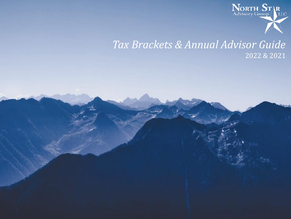

# *Tax Brackets & Annual Advisor Guide* 2022 & 2021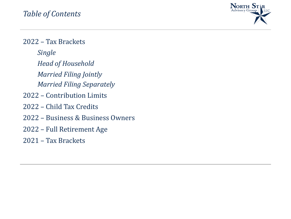

<span id="page-1-0"></span>2022 – Tax Brackets *[Single](#page-2-0) [Head of Household](#page-3-0) [Married Filing Jointly](#page-4-0) [Married Filing Separately](#page-5-0)* 2022 – [Contribution Limits](#page-6-0) 2022 – [Child Tax Credits](#page-7-0) 2022 – [Business & Business Owners](#page-8-0) 2022 – [Full Retirement Age](#page-9-0) 2021 – [Tax Brackets](#page-10-0)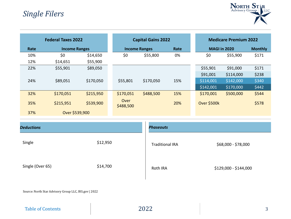

<span id="page-2-0"></span>

| <b>Federal Taxes 2022</b> |                      | <b>Capital Gains 2022</b> |                   |                              | <b>Medicare Premium 2022</b> |             |                     |       |
|---------------------------|----------------------|---------------------------|-------------------|------------------------------|------------------------------|-------------|---------------------|-------|
| Rate                      | <b>Income Ranges</b> |                           |                   | Rate<br><b>Income Ranges</b> |                              |             | <b>MAGI in 2020</b> |       |
| 10%                       | \$0                  | \$14,650                  | \$0               | \$55,800                     | 0%                           | \$0         | \$55,900            | \$171 |
| 12%                       | \$14,651             | \$55,900                  |                   |                              |                              |             |                     |       |
| 22%                       | \$55,901             | \$89,050                  |                   |                              |                              | \$55,901    | \$91,000            | \$171 |
|                           |                      |                           |                   |                              |                              | \$91,001    | \$114,000           | \$238 |
| 24%                       | \$89,051             | \$170,050                 | \$55,801          | \$170,050                    | 15%                          | \$114,001   | \$142,000           | \$340 |
|                           |                      |                           |                   |                              |                              | \$142,001   | \$170,000           | \$442 |
| 32%                       | \$170,051            | \$215,950                 | \$170,051         | \$488,500                    | 15%                          | \$170,001   | \$500,000           | \$544 |
| 35%                       | \$215,951            | \$539,900                 | Over<br>\$488,500 |                              | 20%                          | Over \$500k |                     | \$578 |
| 37%                       | Over \$539,900       |                           |                   |                              |                              |             |                     |       |

| <b>Deductions</b> |          | <b>Phaseouts</b>       |                       |  |  |  |
|-------------------|----------|------------------------|-----------------------|--|--|--|
| Single            | \$12,950 | <b>Traditional IRA</b> | \$68,000 - \$78,000   |  |  |  |
| Single (Over 65)  | \$14,700 | Roth IRA               | \$129,000 - \$144,000 |  |  |  |

[Table of Contents](#page-1-0)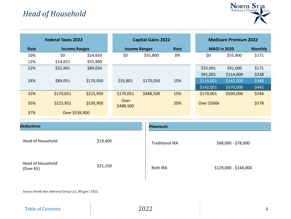

<span id="page-3-0"></span>

|      | <b>Federal Taxes 2022</b> |           |                   | <b>Capital Gains 2022</b>    |     |             | <b>Medicare Premium 2022</b> |       |
|------|---------------------------|-----------|-------------------|------------------------------|-----|-------------|------------------------------|-------|
| Rate | <b>Income Ranges</b>      |           |                   | Rate<br><b>Income Ranges</b> |     |             | <b>MAGI in 2020</b>          |       |
| 10%  | \$0                       | \$14,650  | \$0               | \$55,800                     | 0%  | \$0         | \$55,900                     | \$171 |
| 12%  | \$14,651                  | \$55,900  |                   |                              |     |             |                              |       |
| 22%  | \$55,901                  | \$89,050  |                   |                              |     | \$55,901    | \$91,000                     | \$171 |
|      |                           |           |                   |                              |     | \$91,001    | \$114,000                    | \$238 |
| 24%  | \$89,051                  | \$170,050 | \$55,801          | \$170,050                    | 15% | \$114,001   | \$142,000                    | \$340 |
|      |                           |           |                   |                              |     | \$142,001   | \$170,000                    | \$442 |
| 32%  | \$170,051                 | \$215,950 | \$170,051         | \$488,500                    | 15% | \$170,001   | \$500,000                    | \$544 |
| 35%  | \$215,951                 | \$539,900 | Over<br>\$488,500 |                              | 20% | Over \$500k |                              | \$578 |
| 37%  | Over \$539,900            |           |                   |                              |     |             |                              |       |

| <b>Deductions</b>              |          | <b>Phaseouts</b>       |                       |  |  |  |
|--------------------------------|----------|------------------------|-----------------------|--|--|--|
| Head of Household              | \$19,400 | <b>Traditional IRA</b> | \$68,000 - \$78,000   |  |  |  |
| Head of Household<br>(Over 65) | \$21,150 | Roth IRA               | \$129,000 - \$144,000 |  |  |  |

[Table of Contents](#page-1-0)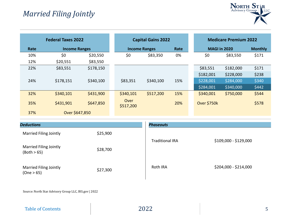

<span id="page-4-0"></span>

| <b>Federal Taxes 2022</b> |                      |           |                   | <b>Capital Gains 2022</b>    |     |             | <b>Medicare Premium 2022</b> |       |  |
|---------------------------|----------------------|-----------|-------------------|------------------------------|-----|-------------|------------------------------|-------|--|
| Rate                      | <b>Income Ranges</b> |           |                   | Rate<br><b>Income Ranges</b> |     |             | <b>MAGI in 2020</b>          |       |  |
| 10%                       | \$0                  | \$20,550  | \$0               | \$83,350                     | 0%  | \$0         | \$83,550                     | \$171 |  |
| 12%                       | \$20,551             | \$83,550  |                   |                              |     |             |                              |       |  |
| 22%                       | \$83,551             | \$178,150 |                   |                              |     | \$83,551    | \$182,000                    | \$171 |  |
|                           |                      |           |                   |                              |     | \$182,001   | \$228,000                    | \$238 |  |
| 24%                       | \$178,151            | \$340,100 | \$83,351          | \$340,100                    | 15% | \$228,001   | \$284,000                    | \$340 |  |
|                           |                      |           |                   |                              |     | \$284,001   | \$340,000                    | \$442 |  |
| 32%                       | \$340,101            | \$431,900 | \$340,101         | \$517,200                    | 15% | \$340,001   | \$750,000                    | \$544 |  |
| 35%                       | \$431,901            | \$647,850 | Over<br>\$517,200 |                              | 20% | Over \$750k |                              | \$578 |  |
| 37%                       | Over \$647,850       |           |                   |                              |     |             |                              |       |  |

| <b>Deductions</b>                            |          | <b>Phaseouts</b>       |                       |
|----------------------------------------------|----------|------------------------|-----------------------|
| <b>Married Filing Jointly</b>                | \$25,900 |                        | \$109,000 - \$129,000 |
| <b>Married Filing Jointly</b><br>(Both > 65) | \$28,700 | <b>Traditional IRA</b> |                       |
| <b>Married Filing Jointly</b><br>(One > 65)  | \$27,300 | Roth IRA               | \$204,000 - \$214,000 |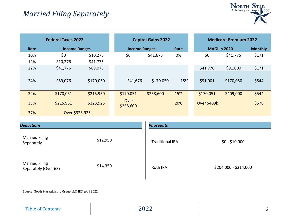

<span id="page-5-0"></span>

|      | <b>Federal Taxes 2022</b> |           |                      | <b>Capital Gains 2022</b> |      |                     | <b>Medicare Premium 2022</b> |                |
|------|---------------------------|-----------|----------------------|---------------------------|------|---------------------|------------------------------|----------------|
| Rate | <b>Income Ranges</b>      |           | <b>Income Ranges</b> |                           | Rate | <b>MAGI in 2020</b> |                              | <b>Monthly</b> |
| 10%  | \$0                       | \$10,275  | \$0                  | \$41,675                  | 0%   | \$0                 | \$41,775                     | \$171          |
| 12%  | \$10,276                  | \$41,775  |                      |                           |      |                     |                              |                |
| 22%  | \$41,776                  | \$89,075  |                      |                           |      | \$41,776            | \$91,000                     | \$171          |
| 24%  | \$89,076                  | \$170,050 | \$41,676             | \$170,050                 | 15%  | \$91,001            | \$170,050                    | \$544          |
| 32%  | \$170,051                 | \$215,950 | \$170,051            | \$258,600                 | 15%  | \$170,051           | \$409,000                    | \$544          |
| 35%  | \$215,951                 | \$323,925 | Over<br>\$258,600    |                           | 20%  | Over \$409k         |                              | \$578          |
| 37%  | Over \$323,925            |           |                      |                           |      |                     |                              |                |

| <b>Deductions</b>                             |          | <b>Phaseouts</b>       |                       |  |  |  |
|-----------------------------------------------|----------|------------------------|-----------------------|--|--|--|
| <b>Married Filing</b><br>Separately           | \$12,950 | <b>Traditional IRA</b> | $$0 - $10,000$        |  |  |  |
| <b>Married Filing</b><br>Separately (Over 65) | \$14,350 | Roth IRA               | \$204,000 - \$214,000 |  |  |  |

[Table of Contents](#page-1-0)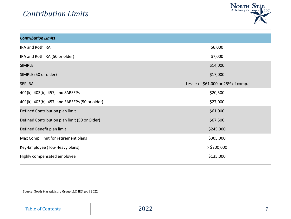

<span id="page-6-0"></span>

| <b>Contribution Limits</b>                     |                                    |
|------------------------------------------------|------------------------------------|
| IRA and Roth IRA                               | \$6,000                            |
| IRA and Roth IRA (50 or older)                 | \$7,000                            |
| <b>SIMPLE</b>                                  | \$14,000                           |
| SIMPLE (50 or older)                           | \$17,000                           |
| <b>SEP IRA</b>                                 | Lesser of \$61,000 or 25% of comp. |
| 401(k), 403(b), 457, and SARSEPs               | \$20,500                           |
| 401(k), 403(b), 457, and SARSEPs (50 or older) | \$27,000                           |
| Defined Contribution plan limit                | \$61,000                           |
| Defined Contribution plan limit (50 or Older)  | \$67,500                           |
| Defined Benefit plan limit                     | \$245,000                          |
| Max Comp. limit for retirement plans           | \$305,000                          |
| Key-Employee (Top-Heavy plans)                 | $>$ \$200,000                      |
| Highly compensated employee                    | \$135,000                          |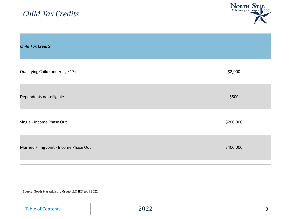<span id="page-7-0"></span>

| <b>Child Tax Credits</b>                | NORTH ST R<br>Advisory Group |
|-----------------------------------------|------------------------------|
| <b>Child Tax Credits</b>                |                              |
| Qualifying Child (under age 17)         | \$2,000                      |
| Dependents not elligible                | \$500                        |
| Single - Income Phase Out               | \$200,000                    |
| Married Filing Joint - Income Phase Out | \$400,000                    |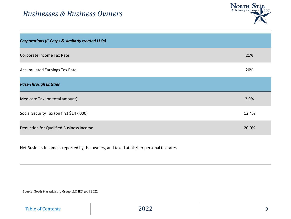### <span id="page-8-0"></span>*Businesses & Business Owners*



| <b>Corporations (C-Corps &amp; similarly treated LLCs)</b> |       |
|------------------------------------------------------------|-------|
| Corporate Income Tax Rate                                  | 21%   |
| <b>Accumulated Earnings Tax Rate</b>                       | 20%   |
| <b>Pass-Through Entities</b>                               |       |
| Medicare Tax (on total amount)                             | 2.9%  |
| Social Security Tax (on first \$147,000)                   | 12.4% |
| <b>Deduction for Qualified Business Income</b>             | 20.0% |

Net Business Income is reported by the owners, and taxed at his/her personal tax rates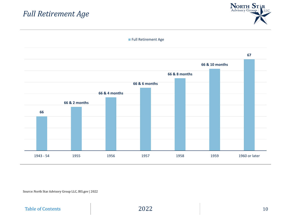### <span id="page-9-0"></span>*Full Retirement Age*





Source: North Star Advisory Group LLC, IRS.gov | 2022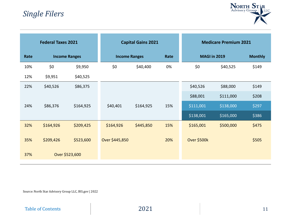### <span id="page-10-0"></span>*Single Filers*



| <b>Federal Taxes 2021</b> |                      |                | <b>Capital Gains 2021</b> |           | <b>Medicare Premium 2021</b> |                     |           |                |
|---------------------------|----------------------|----------------|---------------------------|-----------|------------------------------|---------------------|-----------|----------------|
| Rate                      | <b>Income Ranges</b> |                | <b>Income Ranges</b>      |           | Rate                         | <b>MAGI in 2019</b> |           | <b>Monthly</b> |
| 10%                       | \$0                  | \$9,950        | \$0                       | \$40,400  | 0%                           | \$0                 | \$40,525  | \$149          |
| 12%                       | \$9,951              | \$40,525       |                           |           |                              |                     |           |                |
| 22%                       | \$40,526             | \$86,375       |                           |           |                              | \$40,526            | \$88,000  | \$149          |
|                           |                      |                |                           |           |                              | \$88,001            | \$111,000 | \$208          |
| 24%                       | \$86,376             | \$164,925      | \$40,401                  | \$164,925 | 15%                          | \$111,001           | \$138,000 | \$297          |
|                           |                      |                |                           |           |                              | \$138,001           | \$165,000 | \$386          |
| 32%                       | \$164,926            | \$209,425      | \$164,926                 | \$445,850 | 15%                          | \$165,001           | \$500,000 | \$475          |
| 35%                       | \$209,426            | \$523,600      | Over \$445,850            |           | 20%                          | Over \$500k         |           | \$505          |
| 37%                       |                      | Over \$523,600 |                           |           |                              |                     |           |                |

Source: North Star Advisory Group LLC, IRS.gov | 2022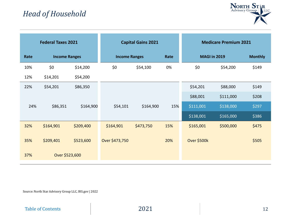

| <b>Federal Taxes 2021</b> |                      |           | <b>Capital Gains 2021</b> |           |      | <b>Medicare Premium 2021</b> |           |                |
|---------------------------|----------------------|-----------|---------------------------|-----------|------|------------------------------|-----------|----------------|
| Rate                      | <b>Income Ranges</b> |           | <b>Income Ranges</b>      |           | Rate | <b>MAGI in 2019</b>          |           | <b>Monthly</b> |
| 10%                       | \$0                  | \$14,200  | \$0                       | \$54,100  | 0%   | \$0                          | \$54,200  | \$149          |
| 12%                       | \$14,201             | \$54,200  |                           |           |      |                              |           |                |
| 22%                       | \$54,201             | \$86,350  |                           |           |      | \$54,201                     | \$88,000  | \$149          |
|                           |                      |           |                           |           |      | \$88,001                     | \$111,000 | \$208          |
| 24%                       | \$86,351             | \$164,900 | \$54,101                  | \$164,900 | 15%  | \$111,001                    | \$138,000 | \$297          |
|                           |                      |           |                           |           |      | \$138,001                    | \$165,000 | \$386          |
| 32%                       | \$164,901            | \$209,400 | \$164,901                 | \$473,750 | 15%  | \$165,001                    | \$500,000 | \$475          |
| 35%                       | \$209,401            | \$523,600 | Over \$473,750            |           | 20%  | Over \$500k                  |           | \$505          |
| 37%                       | Over \$523,600       |           |                           |           |      |                              |           |                |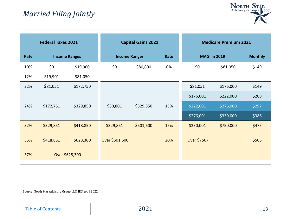## *Married Filing Jointly*



| <b>Federal Taxes 2021</b> |                      |           | <b>Capital Gains 2021</b> |           |      | <b>Medicare Premium 2021</b> |           |                |
|---------------------------|----------------------|-----------|---------------------------|-----------|------|------------------------------|-----------|----------------|
| Rate                      | <b>Income Ranges</b> |           | <b>Income Ranges</b>      |           | Rate | <b>MAGI in 2019</b>          |           | <b>Monthly</b> |
| 10%                       | \$0                  | \$19,900  | \$0                       | \$80,800  | 0%   | \$0                          | \$81,050  | \$149          |
| 12%                       | \$19,901             | \$81,050  |                           |           |      |                              |           |                |
| 22%                       | \$81,051             | \$172,750 |                           |           |      | \$81,051                     | \$176,000 | \$149          |
|                           |                      |           |                           |           |      | \$176,001                    | \$222,000 | \$208          |
| 24%                       | \$172,751            | \$329,850 | \$80,801                  | \$329,850 | 15%  | \$222,001                    | \$276,000 | \$297          |
|                           |                      |           |                           |           |      | \$276,001                    | \$330,000 | \$386          |
| 32%                       | \$329,851            | \$418,850 | \$329,851                 | \$501,600 | 15%  | \$330,001                    | \$750,000 | \$475          |
| 35%                       | \$418,851            | \$628,300 | Over \$501,600            |           | 20%  | <b>Over \$750k</b>           |           | \$505          |
| 37%                       | Over \$628,300       |           |                           |           |      |                              |           |                |

Source: North Star Advisory Group LLC, IRS.gov | 2022